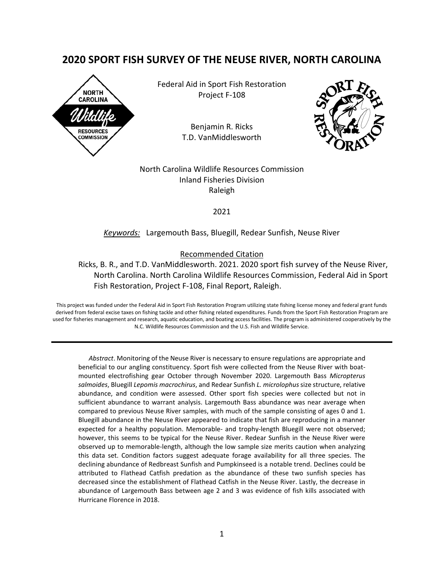# **2020 SPORT FISH SURVEY OF THE NEUSE RIVER, NORTH CAROLINA**



Federal Aid in Sport Fish Restoration Project F-108

> Benjamin R. Ricks T.D. VanMiddlesworth



North Carolina Wildlife Resources Commission Inland Fisheries Division Raleigh

2021

### *Keywords:* Largemouth Bass, Bluegill, Redear Sunfish, Neuse River

Recommended Citation

Ricks, B. R., and T.D. VanMiddlesworth. 2021. 2020 sport fish survey of the Neuse River, North Carolina. North Carolina Wildlife Resources Commission, Federal Aid in Sport Fish Restoration, Project F-108, Final Report, Raleigh.

This project was funded under the Federal Aid in Sport Fish Restoration Program utilizing state fishing license money and federal grant funds derived from federal excise taxes on fishing tackle and other fishing related expenditures. Funds from the Sport Fish Restoration Program are used for fisheries management and research, aquatic education, and boating access facilities. The program is administered cooperatively by the N.C. Wildlife Resources Commission and the U.S. Fish and Wildlife Service.

*Abstract*. Monitoring of the Neuse River is necessary to ensure regulations are appropriate and beneficial to our angling constituency. Sport fish were collected from the Neuse River with boatmounted electrofishing gear October through November 2020. Largemouth Bass *Micropterus salmoides*, Bluegill *Lepomis macrochirus*, and Redear Sunfish *L. microlophus* size structure, relative abundance, and condition were assessed. Other sport fish species were collected but not in sufficient abundance to warrant analysis. Largemouth Bass abundance was near average when compared to previous Neuse River samples, with much of the sample consisting of ages 0 and 1. Bluegill abundance in the Neuse River appeared to indicate that fish are reproducing in a manner expected for a healthy population. Memorable- and trophy-length Bluegill were not observed; however, this seems to be typical for the Neuse River. Redear Sunfish in the Neuse River were observed up to memorable-length, although the low sample size merits caution when analyzing this data set. Condition factors suggest adequate forage availability for all three species. The declining abundance of Redbreast Sunfish and Pumpkinseed is a notable trend. Declines could be attributed to Flathead Catfish predation as the abundance of these two sunfish species has decreased since the establishment of Flathead Catfish in the Neuse River. Lastly, the decrease in abundance of Largemouth Bass between age 2 and 3 was evidence of fish kills associated with Hurricane Florence in 2018.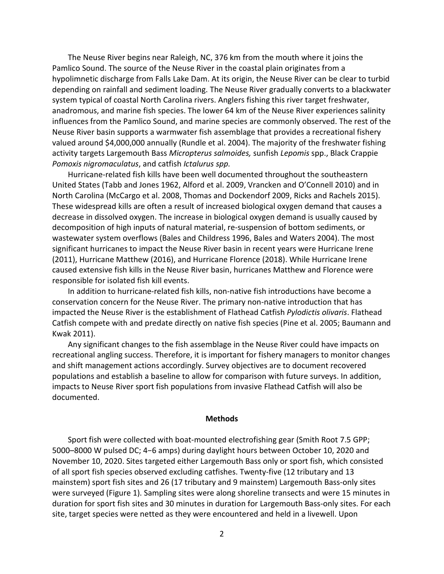The Neuse River begins near Raleigh, NC, 376 km from the mouth where it joins the Pamlico Sound. The source of the Neuse River in the coastal plain originates from a hypolimnetic discharge from Falls Lake Dam. At its origin, the Neuse River can be clear to turbid depending on rainfall and sediment loading. The Neuse River gradually converts to a blackwater system typical of coastal North Carolina rivers. Anglers fishing this river target freshwater, anadromous, and marine fish species. The lower 64 km of the Neuse River experiences salinity influences from the Pamlico Sound, and marine species are commonly observed. The rest of the Neuse River basin supports a warmwater fish assemblage that provides a recreational fishery valued around \$4,000,000 annually (Rundle et al. 2004). The majority of the freshwater fishing activity targets Largemouth Bass *Micropterus salmoides,* sunfish *Lepomis* spp., Black Crappie *Pomoxis nigromaculatus*, and catfish *Ictalurus spp.* 

Hurricane-related fish kills have been well documented throughout the southeastern United States (Tabb and Jones 1962, Alford et al. 2009, Vrancken and O'Connell 2010) and in North Carolina (McCargo et al. 2008, Thomas and Dockendorf 2009, Ricks and Rachels 2015). These widespread kills are often a result of increased biological oxygen demand that causes a decrease in dissolved oxygen. The increase in biological oxygen demand is usually caused by decomposition of high inputs of natural material, re-suspension of bottom sediments, or wastewater system overflows (Bales and Childress 1996, Bales and Waters 2004). The most significant hurricanes to impact the Neuse River basin in recent years were Hurricane Irene (2011), Hurricane Matthew (2016), and Hurricane Florence (2018). While Hurricane Irene caused extensive fish kills in the Neuse River basin, hurricanes Matthew and Florence were responsible for isolated fish kill events.

In addition to hurricane-related fish kills, non-native fish introductions have become a conservation concern for the Neuse River. The primary non-native introduction that has impacted the Neuse River is the establishment of Flathead Catfish *Pylodictis olivaris*. Flathead Catfish compete with and predate directly on native fish species (Pine et al. 2005; Baumann and Kwak 2011).

Any significant changes to the fish assemblage in the Neuse River could have impacts on recreational angling success. Therefore, it is important for fishery managers to monitor changes and shift management actions accordingly. Survey objectives are to document recovered populations and establish a baseline to allow for comparison with future surveys. In addition, impacts to Neuse River sport fish populations from invasive Flathead Catfish will also be documented.

#### **Methods**

Sport fish were collected with boat-mounted electrofishing gear (Smith Root 7.5 GPP; 5000–8000 W pulsed DC; 4−6 amps) during daylight hours between October 10, 2020 and November 10, 2020. Sites targeted either Largemouth Bass only or sport fish, which consisted of all sport fish species observed excluding catfishes. Twenty-five (12 tributary and 13 mainstem) sport fish sites and 26 (17 tributary and 9 mainstem) Largemouth Bass-only sites were surveyed (Figure 1). Sampling sites were along shoreline transects and were 15 minutes in duration for sport fish sites and 30 minutes in duration for Largemouth Bass-only sites. For each site, target species were netted as they were encountered and held in a livewell. Upon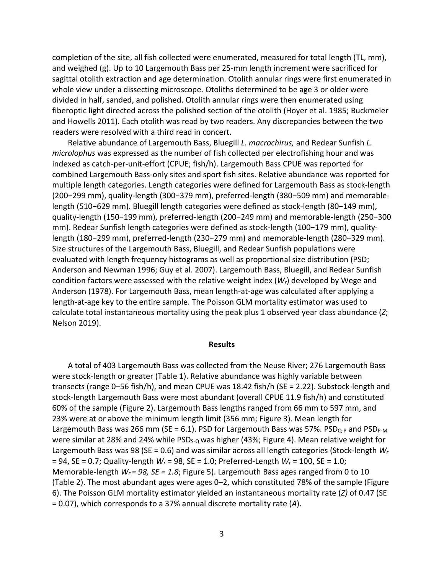completion of the site, all fish collected were enumerated, measured for total length (TL, mm), and weighed (g). Up to 10 Largemouth Bass per 25-mm length increment were sacrificed for sagittal otolith extraction and age determination. Otolith annular rings were first enumerated in whole view under a dissecting microscope. Otoliths determined to be age 3 or older were divided in half, sanded, and polished. Otolith annular rings were then enumerated using fiberoptic light directed across the polished section of the otolith (Hoyer et al. 1985; Buckmeier and Howells 2011). Each otolith was read by two readers. Any discrepancies between the two readers were resolved with a third read in concert.

Relative abundance of Largemouth Bass, Bluegill *L. macrochirus,* and Redear Sunfish *L. microlophus* was expressed as the number of fish collected per electrofishing hour and was indexed as catch-per-unit-effort (CPUE; fish/h). Largemouth Bass CPUE was reported for combined Largemouth Bass-only sites and sport fish sites. Relative abundance was reported for multiple length categories. Length categories were defined for Largemouth Bass as stock-length (200−299 mm), quality-length (300−379 mm), preferred-length (380−509 mm) and memorablelength (510−629 mm). Bluegill length categories were defined as stock-length (80−149 mm), quality-length (150−199 mm), preferred-length (200−249 mm) and memorable-length (250−300 mm). Redear Sunfish length categories were defined as stock-length (100−179 mm), qualitylength (180−299 mm), preferred-length (230−279 mm) and memorable-length (280−329 mm). Size structures of the Largemouth Bass, Bluegill, and Redear Sunfish populations were evaluated with length frequency histograms as well as proportional size distribution (PSD; Anderson and Newman 1996; Guy et al. 2007). Largemouth Bass, Bluegill, and Redear Sunfish condition factors were assessed with the relative weight index (*Wr*) developed by Wege and Anderson (1978). For Largemouth Bass, mean length-at-age was calculated after applying a length-at-age key to the entire sample. The Poisson GLM mortality estimator was used to calculate total instantaneous mortality using the peak plus 1 observed year class abundance (*Z*; Nelson 2019).

#### **Results**

A total of 403 Largemouth Bass was collected from the Neuse River; 276 Largemouth Bass were stock-length or greater (Table 1). Relative abundance was highly variable between transects (range 0–56 fish/h), and mean CPUE was 18.42 fish/h (SE = 2.22). Substock-length and stock-length Largemouth Bass were most abundant (overall CPUE 11.9 fish/h) and constituted 60% of the sample (Figure 2). Largemouth Bass lengths ranged from 66 mm to 597 mm, and 23% were at or above the minimum length limit (356 mm; Figure 3). Mean length for Largemouth Bass was 266 mm (SE = 6.1). PSD for Largemouth Bass was 57%. PSD<sub>Q-P</sub> and PSD<sub>P-M</sub> were similar at 28% and 24% while  $PSD<sub>s-Q</sub>$  was higher (43%; Figure 4). Mean relative weight for Largemouth Bass was 98 (SE = 0.6) and was similar across all length categories (Stock-length *W<sup>r</sup>* = 94, SE = 0.7; Quality-length *Wr* = 98, SE = 1.0; Preferred-Length *Wr* = 100, SE = 1.0; Memorable-length *Wr = 98, SE = 1.8*; Figure 5). Largemouth Bass ages ranged from 0 to 10 (Table 2). The most abundant ages were ages 0–2, which constituted 78% of the sample (Figure 6). The Poisson GLM mortality estimator yielded an instantaneous mortality rate (*Z)* of 0.47 (SE = 0.07), which corresponds to a 37% annual discrete mortality rate (*A*).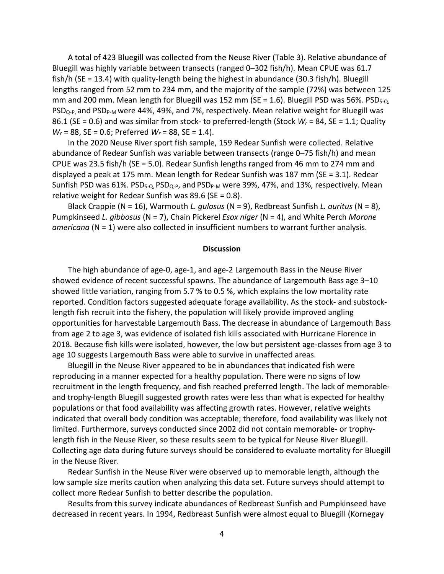A total of 423 Bluegill was collected from the Neuse River (Table 3). Relative abundance of Bluegill was highly variable between transects (ranged 0–302 fish/h). Mean CPUE was 61.7 fish/h (SE = 13.4) with quality-length being the highest in abundance (30.3 fish/h). Bluegill lengths ranged from 52 mm to 234 mm, and the majority of the sample (72%) was between 125 mm and 200 mm. Mean length for Bluegill was 152 mm (SE = 1.6). Bluegill PSD was 56%. PSD $_{5-Q}$ PSD<sub>Q-P</sub>, and PSD<sub>P-M</sub> were 44%, 49%, and 7%, respectively. Mean relative weight for Bluegill was 86.1 (SE = 0.6) and was similar from stock- to preferred-length (Stock *Wr* = 84, SE = 1.1; Quality *Wr* = 88, SE = 0.6; Preferred *Wr* = 88, SE = 1.4).

In the 2020 Neuse River sport fish sample, 159 Redear Sunfish were collected. Relative abundance of Redear Sunfish was variable between transects (range 0–75 fish/h) and mean CPUE was 23.5 fish/h (SE = 5.0). Redear Sunfish lengths ranged from 46 mm to 274 mm and displayed a peak at 175 mm. Mean length for Redear Sunfish was 187 mm (SE = 3.1). Redear Sunfish PSD was 61%. PSD<sub>S-Q</sub>, PSD<sub>Q-P</sub>, and PSD<sub>P-M</sub> were 39%, 47%, and 13%, respectively. Mean relative weight for Redear Sunfish was 89.6 (SE = 0.8).

Black Crappie (N = 16), Warmouth *L. gulosus* (N = 9), Redbreast Sunfish *L. auritus* (N = 8), Pumpkinseed *L. gibbosus* (N = 7), Chain Pickerel *Esox niger* (N = 4), and White Perch *Morone americana* (N = 1) were also collected in insufficient numbers to warrant further analysis.

#### **Discussion**

The high abundance of age-0, age-1, and age-2 Largemouth Bass in the Neuse River showed evidence of recent successful spawns. The abundance of Largemouth Bass age 3–10 showed little variation, ranging from 5.7 % to 0.5 %, which explains the low mortality rate reported. Condition factors suggested adequate forage availability. As the stock- and substocklength fish recruit into the fishery, the population will likely provide improved angling opportunities for harvestable Largemouth Bass. The decrease in abundance of Largemouth Bass from age 2 to age 3, was evidence of isolated fish kills associated with Hurricane Florence in 2018. Because fish kills were isolated, however, the low but persistent age-classes from age 3 to age 10 suggests Largemouth Bass were able to survive in unaffected areas.

Bluegill in the Neuse River appeared to be in abundances that indicated fish were reproducing in a manner expected for a healthy population. There were no signs of low recruitment in the length frequency, and fish reached preferred length. The lack of memorableand trophy-length Bluegill suggested growth rates were less than what is expected for healthy populations or that food availability was affecting growth rates. However, relative weights indicated that overall body condition was acceptable; therefore, food availability was likely not limited. Furthermore, surveys conducted since 2002 did not contain memorable- or trophylength fish in the Neuse River, so these results seem to be typical for Neuse River Bluegill. Collecting age data during future surveys should be considered to evaluate mortality for Bluegill in the Neuse River.

Redear Sunfish in the Neuse River were observed up to memorable length, although the low sample size merits caution when analyzing this data set. Future surveys should attempt to collect more Redear Sunfish to better describe the population.

Results from this survey indicate abundances of Redbreast Sunfish and Pumpkinseed have decreased in recent years. In 1994, Redbreast Sunfish were almost equal to Bluegill (Kornegay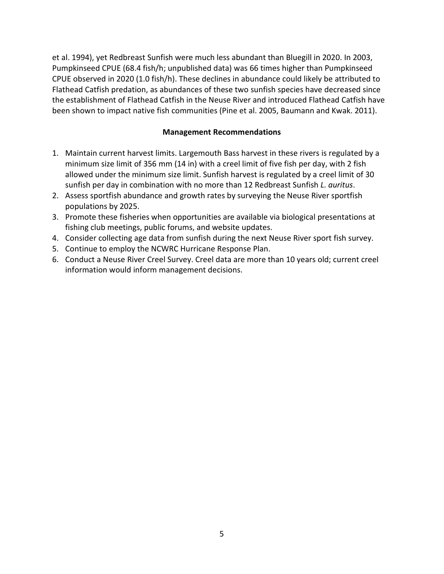et al. 1994), yet Redbreast Sunfish were much less abundant than Bluegill in 2020. In 2003, Pumpkinseed CPUE (68.4 fish/h; unpublished data) was 66 times higher than Pumpkinseed CPUE observed in 2020 (1.0 fish/h). These declines in abundance could likely be attributed to Flathead Catfish predation, as abundances of these two sunfish species have decreased since the establishment of Flathead Catfish in the Neuse River and introduced Flathead Catfish have been shown to impact native fish communities (Pine et al. 2005, Baumann and Kwak. 2011).

# **Management Recommendations**

- 1. Maintain current harvest limits. Largemouth Bass harvest in these rivers is regulated by a minimum size limit of 356 mm (14 in) with a creel limit of five fish per day, with 2 fish allowed under the minimum size limit. Sunfish harvest is regulated by a creel limit of 30 sunfish per day in combination with no more than 12 Redbreast Sunfish *L. auritus*.
- 2. Assess sportfish abundance and growth rates by surveying the Neuse River sportfish populations by 2025.
- 3. Promote these fisheries when opportunities are available via biological presentations at fishing club meetings, public forums, and website updates.
- 4. Consider collecting age data from sunfish during the next Neuse River sport fish survey.
- 5. Continue to employ the NCWRC Hurricane Response Plan.
- 6. Conduct a Neuse River Creel Survey. Creel data are more than 10 years old; current creel information would inform management decisions.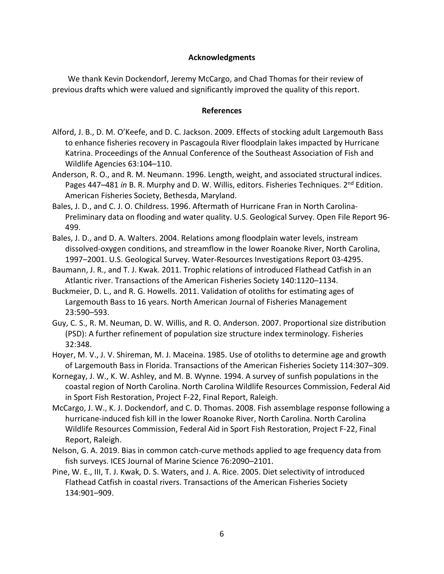# **Acknowledgments**

We thank Kevin Dockendorf, Jeremy McCargo, and Chad Thomas for their review of previous drafts which were valued and significantly improved the quality of this report.

## **References**

- Alford, J. B., D. M. O'Keefe, and D. C. Jackson. 2009. Effects of stocking adult Largemouth Bass to enhance fisheries recovery in Pascagoula River floodplain lakes impacted by Hurricane Katrina. Proceedings of the Annual Conference of the Southeast Association of Fish and Wildlife Agencies 63:104–110.
- Anderson, R. O., and R. M. Neumann. 1996. Length, weight, and associated structural indices. Pages 447-481 *in* B. R. Murphy and D. W. Willis, editors. Fisheries Techniques. 2<sup>nd</sup> Edition. American Fisheries Society, Bethesda, Maryland.
- Bales, J. D., and C. J. O. Childress. 1996. Aftermath of Hurricane Fran in North Carolina-Preliminary data on flooding and water quality. U.S. Geological Survey. Open File Report 96- 499.
- Bales, J. D., and D. A. Walters. 2004. Relations among floodplain water levels, instream dissolved-oxygen conditions, and streamflow in the lower Roanoke River, North Carolina, 1997–2001. U.S. Geological Survey. Water-Resources Investigations Report 03-4295.
- Baumann, J. R., and T. J. Kwak. 2011. Trophic relations of introduced Flathead Catfish in an Atlantic river. Transactions of the American Fisheries Society 140:1120–1134.
- Buckmeier, D. L., and R. G. Howells. 2011. Validation of otoliths for estimating ages of Largemouth Bass to 16 years. North American Journal of Fisheries Management 23:590–593.
- Guy, C. S., R. M. Neuman, D. W. Willis, and R. O. Anderson. 2007. Proportional size distribution (PSD): A further refinement of population size structure index terminology. Fisheries 32:348.
- Hoyer, M. V., J. V. Shireman, M. J. Maceina. 1985. Use of otoliths to determine age and growth of Largemouth Bass in Florida. Transactions of the American Fisheries Society 114:307–309.
- Kornegay, J. W., K. W. Ashley, and M. B. Wynne. 1994. A survey of sunfish populations in the coastal region of North Carolina. North Carolina Wildlife Resources Commission, Federal Aid in Sport Fish Restoration, Project F-22, Final Report, Raleigh.
- McCargo, J. W., K. J. Dockendorf, and C. D. Thomas. 2008. Fish assemblage response following a hurricane-induced fish kill in the lower Roanoke River, North Carolina. North Carolina Wildlife Resources Commission, Federal Aid in Sport Fish Restoration, Project F-22, Final Report, Raleigh.
- Nelson, G. A. 2019. Bias in common catch-curve methods applied to age frequency data from fish surveys. ICES Journal of Marine Science 76:2090–2101.
- Pine, W. E., III, T. J. Kwak, D. S. Waters, and J. A. Rice. 2005. Diet selectivity of introduced Flathead Catfish in coastal rivers. Transactions of the American Fisheries Society 134:901–909.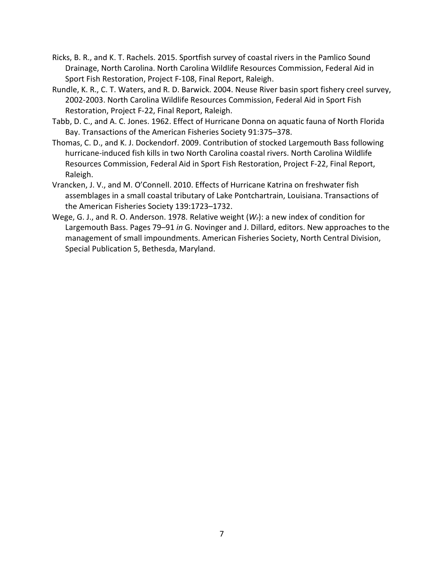- Ricks, B. R., and K. T. Rachels. 2015. Sportfish survey of coastal rivers in the Pamlico Sound Drainage, North Carolina. North Carolina Wildlife Resources Commission, Federal Aid in Sport Fish Restoration, Project F-108, Final Report, Raleigh.
- Rundle, K. R., C. T. Waters, and R. D. Barwick. 2004. Neuse River basin sport fishery creel survey, 2002-2003. North Carolina Wildlife Resources Commission, Federal Aid in Sport Fish Restoration, Project F-22, Final Report, Raleigh.
- Tabb, D. C., and A. C. Jones. 1962. Effect of Hurricane Donna on aquatic fauna of North Florida Bay. Transactions of the American Fisheries Society 91:375–378.
- Thomas, C. D., and K. J. Dockendorf. 2009. Contribution of stocked Largemouth Bass following hurricane-induced fish kills in two North Carolina coastal rivers. North Carolina Wildlife Resources Commission, Federal Aid in Sport Fish Restoration, Project F-22, Final Report, Raleigh.
- Vrancken, J. V., and M. O'Connell. 2010. Effects of Hurricane Katrina on freshwater fish assemblages in a small coastal tributary of Lake Pontchartrain, Louisiana. Transactions of the American Fisheries Society 139:1723–1732.
- Wege, G. J., and R. O. Anderson. 1978. Relative weight (*Wr*): a new index of condition for Largemouth Bass. Pages 79–91 *in* G. Novinger and J. Dillard, editors. New approaches to the management of small impoundments. American Fisheries Society, North Central Division, Special Publication 5, Bethesda, Maryland.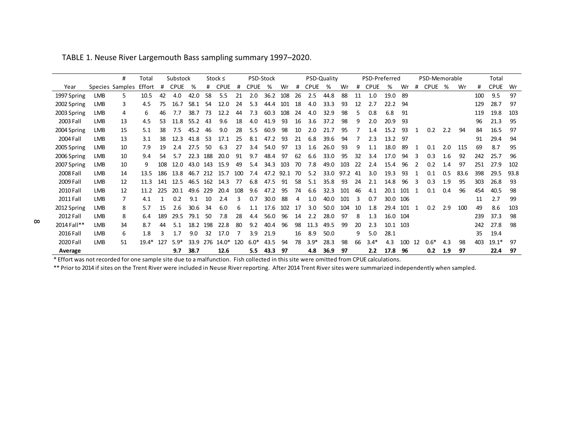|             |            | #               | Total   | Substock |             |      | Stock $\leq$ |             |     |             | PSD-Stock |      |    | PSD-Quality |      |      |    | PSD-Preferred |      | PSD-Memorable |    |             |     |      | Total |             |      |
|-------------|------------|-----------------|---------|----------|-------------|------|--------------|-------------|-----|-------------|-----------|------|----|-------------|------|------|----|---------------|------|---------------|----|-------------|-----|------|-------|-------------|------|
| Year        |            | Species Samples | Effort  | #        | <b>CPUE</b> | %    | #            | <b>CPUE</b> | #   | <b>CPUE</b> | %         | Wr   | #  | <b>CPUE</b> | %    | Wr   | #  | <b>CPUE</b>   | %    | Wr            | #  | <b>CPUE</b> | %   | Wr   | #     | <b>CPUE</b> | Wr   |
| 1997 Spring | LMB        | 5.              | 10.5    | 42       | 4.0         | 42.0 | 58           | 5.5         | 21  | 2.0         | 36.2      | 108  | 26 | 2.5         | 44.8 | 88   | 11 | 1.0           | 19.0 | 89            |    |             |     |      | 100   | 9.5         | 97   |
| 2002 Spring | LMB        | 3               | 4.5     | 75       | 16.7        | 58.1 | 54           | 12.0        | 24  | 5.3         | 44.4      | 101  | 18 | 4.0         | 33.3 | 93   | 12 | 2.7           | 22.2 | 94            |    |             |     |      | 129   | 28.7        | 97   |
| 2003 Spring | LMB        | 4               | 6       | 46       | 7.7         | 38.7 | 73           | 12.2        | 44  | 7.3         | 60.3      | 108  | 24 | 4.0         | 32.9 | 98   |    | 0.8           | 6.8  | 91            |    |             |     |      | 119   | 19.8        | 103  |
| 2003 Fall   | <b>LMB</b> | 13              | 4.5     | 53       | 11.8        | 55.2 | 43           | 9.6         | 18  | 4.0         | 41.9      | 93   | 16 | 3.6         | 37.2 | 98   | 9  | 2.0           | 20.9 | 93            |    |             |     |      | 96    | 21.3        | 95   |
| 2004 Spring | <b>LMB</b> | 15              | 5.1     | 38       | 7.5         | 45.2 | 46           | 9.0         | 28  | 5.5         | 60.9      | 98   | 10 | 2.0         | 21.7 | 95   |    | 1.4           | 15.2 | 93            |    | 0.2         | 2.2 | 94   | 84    | 16.5        | 97   |
| 2004 Fall   | LMB        | 13              | 3.1     | 38       | 12.3        | 41.8 | 53           | 17.1        | 25  | 8.1         | 47.2      | 93   | 21 | 6.8         | 39.6 | 94   |    | 2.3           | 13.2 | 97            |    |             |     |      | 91    | 29.4        | 94   |
| 2005 Spring | <b>LMB</b> | 10              | 7.9     | 19       | 2.4         | 27.5 | 50           | 6.3         | 27  | 3.4         | 54.0      | 97   | 13 | 1.6         | 26.0 | 93   | 9  | 1.1           | 18.0 | 89            |    | 0.1         | 2.0 | 115  | 69    | 8.7         | 95   |
| 2006 Spring | <b>LMB</b> | 10              | 9.4     | 54       | 5.7         | 22.3 | 188          | 20.0        | 91  | 9.7         | 48.4      | 97   | 62 | 6.6         | 33.0 | 95   | 32 | 3.4           | 17.0 | 94            | 3  | 0.3         | 1.6 | 92   | 242   | 25.7        | 96   |
| 2007 Spring | <b>LMB</b> | 10              | q       | 108      | 12.0        | 43.0 | 143          | 15.9        | 49  | 5.4         | 34.3      | 103  | 70 | 7.8         | 49.0 | 103  | 22 | 2.4           | 15.4 | 96            |    | 0.2         | 1.4 | 97   | 251   | 27.9        | 102  |
| 2008 Fall   | <b>LMB</b> | 14              | 13.5    | 186      | 13.8        | 46.7 | 212          | 15.7        | 100 | 7.4         | 47.2      | 92.1 | 70 | 5.2         | 33.0 | 97.2 | 41 | 3.0           | 19.3 | 93            |    | 0.1         | 0.5 | 83.6 | 398   | 29.5        | 93.8 |
| 2009 Fall   | <b>LMB</b> | 12              | 11.3    | 141      | 12.5        | 46.5 | 162          | 14.3        | 77  | 6.8         | 47.5      | 91   | 58 | 5.1         | 35.8 | 93   | 24 | 2.1           | 14.8 | 96            |    | 0.3         | 1.9 | 95   | 303   | 26.8        | 93   |
| 2010 Fall   | <b>LMB</b> | 12              | 11.2    | 225      | 20.1        | 49.6 | 229          | 20.4        | 108 | 9.6         | 47.2      | 95   | 74 | 6.6         | 32.3 | 101  | 46 | 4.1           | 20.1 | 101           | -1 | 0.1         | 0.4 | 96   | 454   | 40.5        | 98   |
| 2011 Fall   | <b>LMB</b> |                 | 4.1     |          | 0.2         | 9.1  | 10           | 2.4         | 3   | 0.7         | 30.0      | 88   | 4  | 1.0         | 40.0 | 101  | 3  | 0.7           | 30.0 | 106           |    |             |     |      | 11    | 2.7         | 99   |
| 2012 Spring | <b>LMB</b> | 8               | 5.7     | 15       | 2.6         | 30.6 | 34           | 6.0         | 6   | 1.1         | 17.6      | 102  | 17 | 3.0         | 50.0 | 104  | 10 | 1.8           | 29.4 | 101           |    | 0.2         | 2.9 | 100  | 49    | 8.6         | 103  |
| 2012 Fall   | <b>LMB</b> | 8               | 6.4     | 189      | 29.5        | 79.1 | 50           | 7.8         | 28  | 4.4         | 56.0      | 96   | 14 | 2.2         | 28.0 | 97   | 8  | 1.3           | 16.0 | 104           |    |             |     |      | 239   | 37.3        | 98   |
| 2014 Fall** | LMB        | 34              | 8.7     | 44       | 5.1         | 18.2 | 198          | 22.8        | 80  | 9.2         | 40.4      | 96   | 98 | 11.3        | 49.5 | 99   | 20 | 2.3           | 10.1 | 103           |    |             |     |      | 242   | 27.8        | 98   |
| 2016 Fall   | <b>LMB</b> | 6               | 1.8     | ٦        | 1.7         | 9.0  | 32           | 17.0        | 7   | 3.9         | 21.9      |      | 16 | 8.9         | 50.0 |      | 9  | 5.0           | 28.1 |               |    |             |     |      | 35    | 19.4        |      |
| 2020 Fall   | <b>LMB</b> | 51              | $19.4*$ | 127      | $5.9*$      | 33.9 | 276          | 14.0*       | 120 | $6.0*$      | 43.5      | 94   | 78 | $3.9*$      | 28.3 | 98   | 66 | $3.4*$        | 4.3  | 100           | 12 | $0.6*$      | 4.3 | 98   | 403   | $19.1*$     | 97   |
| Average     |            |                 |         |          | 9.7         | 38.7 |              | 12.6        |     | 5.5         | 43.3      | 97   |    | 4.8         | 36.9 | 97   |    | 2.2           | 17.8 | 96            |    | 0.2         | 1.9 | 97   |       | 22.4        | 97   |

TABLE 1. Neuse River Largemouth Bass sampling summary 1997–2020.

\* Effort was not recorded for one sample site due to a malfunction. Fish collected in this site were omitted from CPUE calculations.

\*\* Prior to 2014 if sites on the Trent River were included in Neuse River reporting. After 2014 Trent River sites were summarized independently when sampled.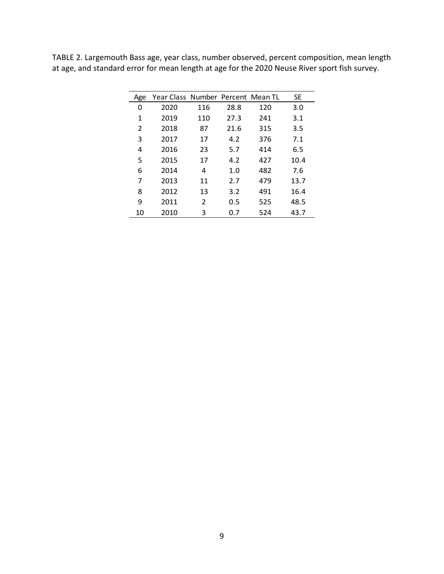| Age | Year Class Number Percent Mean TL |     |      |     | <b>SE</b> |
|-----|-----------------------------------|-----|------|-----|-----------|
| 0   | 2020                              | 116 | 28.8 | 120 | 3.0       |
| 1   | 2019                              | 110 | 27.3 | 241 | 3.1       |
| 2   | 2018                              | 87  | 21.6 | 315 | 3.5       |
| 3   | 2017                              | 17  | 4.2  | 376 | 7.1       |
| 4   | 2016                              | 23  | 5.7  | 414 | 6.5       |
| 5   | 2015                              | 17  | 4.2  | 427 | 10.4      |
| 6   | 2014                              | 4   | 1.0  | 482 | 7.6       |
| 7   | 2013                              | 11  | 2.7  | 479 | 13.7      |
| 8   | 2012                              | 13  | 3.2  | 491 | 16.4      |
| 9   | 2011                              | 2   | 0.5  | 525 | 48.5      |
| 10  | 2010                              | 3   | 0.7  | 524 | 43.7      |

TABLE 2. Largemouth Bass age, year class, number observed, percent composition, mean length at age, and standard error for mean length at age for the 2020 Neuse River sport fish survey.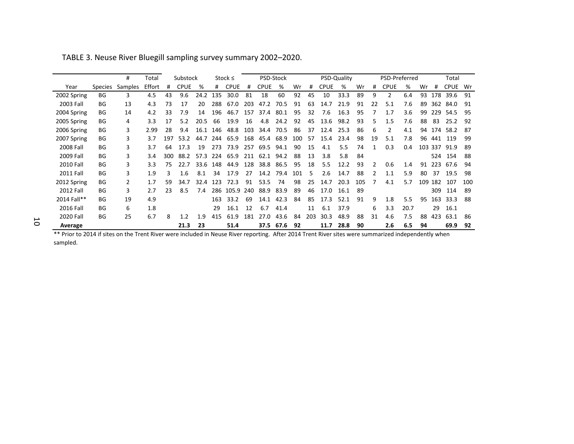|                  |                | #       | Total  |     | Substock    |      | Stock $\leq$ |       | PSD-Stock |             |      |     | PSD-Quality |      |      |     |               | PSD-Preferred  |      |     |     | Total       |     |  |
|------------------|----------------|---------|--------|-----|-------------|------|--------------|-------|-----------|-------------|------|-----|-------------|------|------|-----|---------------|----------------|------|-----|-----|-------------|-----|--|
| Year             | <b>Species</b> | Samples | Effort | #   | <b>CPUE</b> | %    | #            | CPUE  | #         | <b>CPUE</b> | ℅    | Wr  | #           | CPUE | %    | Wr  | #             | <b>CPUE</b>    | %    | Wr  |     | <b>CPUE</b> | Wr  |  |
| 2002 Spring      | <b>BG</b>      | 3       | 4.5    | 43  | 9.6         | 24.2 | 135          | 30.0  | 81        | 18          | 60   | 92  | 45          | 10   | 33.3 | 89  | 9             | $\overline{2}$ | 6.4  | 93  | 178 | 39.6        | 91  |  |
| 2003 Fall        | BG             | 13      | 4.3    | 73  | 17          | 20   | 288          | 67.0  | 203       | 47.2        | 70.5 | 91  | 63          | 14.7 | 21.9 | 91  | 22            | 5.1            | 7.6  | 89  | 362 | 84.0        | 91  |  |
| 2004 Spring      | BG             | 14      | 4.2    | 33  | 7.9         | 14   | 196          | 46.7  | 157       | 37.4        | 80.1 | 95  | 32          | 7.6  | 16.3 | 95  |               | 1.7            | 3.6  | 99  | 229 | 54.5        | 95  |  |
| 2005 Spring      | BG             | 4       | 3.3    | 17  | 5.2         | 20.5 | 66           | 19.9  | 16        | 4.8         | 24.2 | 92  | 45          | 13.6 | 98.2 | 93  | 5             | 1.5            | 7.6  | 88  | 83  | 25.2        | 92  |  |
| 2006 Spring      | BG             | 3       | 2.99   | 28  | 9.4         | 16.1 | 146          | 48.8  | 103       | 34.4        | 70.5 | 86  | 37          | 12.4 | 25.3 | 86  | 6             | 2              | 4.1  | 94  |     | 174 58.2    | 87  |  |
| 2007 Spring      | BG             | 3       | 3.7    | 197 | 53.2        | 44.7 | 244          | 65.9  | 168       | 45.4        | 68.9 | 100 | 57          | 15.4 | 23.4 | 98  | 19            | 5.1            | 7.8  | 96  | 441 | 119         | 99  |  |
| 2008 Fall        | BG             | 3       | 3.7    | 64  | 17.3        | 19   | 273          | 73.9  | 257       | 69.5        | 94.1 | 90  | 15          | 4.1  | 5.5  | 74  |               | 0.3            | 0.4  | 103 | 337 | 91.9        | 89  |  |
| 2009 Fall        | BG             | 3       | 3.4    | 300 | 88.2        | 57.3 | 224          | 65.9  | 211       | 62.1        | 94.2 | 88  | 13          | 3.8  | 5.8  | 84  |               |                |      |     | 524 | 154         | 88  |  |
| <b>2010 Fall</b> | <b>BG</b>      | 3       | 3.3    | 75  | 22.7        | 33.6 | 148          | 44.9  | 128       | 38.8        | 86.5 | 95  | 18          | 5.5  | 12.2 | 93  | 2             | 0.6            | 1.4  | 91  | 223 | 67.6        | 94  |  |
| 2011 Fall        | BG             | 3       | 1.9    | 3   | 1.6         | 8.1  | 34           | 17.9  | 27        | 14.2        | 79.4 | 101 | 5           | 2.6  | 14.7 | 88  | $\mathcal{P}$ | 1.1            | 5.9  | 80  | 37  | 19.5        | 98  |  |
| 2012 Spring      | BG             | 2       | 1.7    | 59  | 34.7        | 32.4 | 123          | 72.3  | 91        | 53.5        | 74   | 98  | 25          | 14.7 | 20.3 | 105 |               | 4.1            | 5.7  | 109 | 182 | 107         | 100 |  |
| <b>2012 Fall</b> | BG             | 3       | 2.7    | 23  | 8.5         | 7.4  | 286          | 105.9 | 240       | 88.9        | 83.9 | 89  | 46          | 17.0 | 16.1 | 89  |               |                |      |     | 309 | 114         | 89  |  |
| 2014 Fall**      | BG             | 19      | 4.9    |     |             |      | 163          | 33.2  | 69        | 14.1        | 42.3 | 84  | 85          | 17.3 | 52.1 | 91  | 9             | 1.8            | 5.5  | 95  | 163 | 33.3        | 88  |  |
| 2016 Fall        | BG             | 6       | 1.8    |     |             |      | 29           | 16.1  | 12        | 6.7         | 41.4 |     | 11          | 6.1  | 37.9 |     | 6             | 3.3            | 20.7 |     | 29  | 16.1        |     |  |
| <b>2020 Fall</b> | BG             | 25      | 6.7    | 8   | 1.2         | 1.9  | 415          | 61.9  | 181       | 27.0        | 43.6 | 84  | 203         | 30.3 | 48.9 | 88  | 31            | 4.6            | 7.5  | 88  | 423 | 63.1        | -86 |  |
| Average          |                |         |        |     | 21.3        | 23   |              | 51.4  |           | 37.5        | 67.6 | 92  |             | 11.7 | 28.8 | 90  |               | 2.6            | 6.5  | 94  |     | 69.9        | 92  |  |

TABLE 3. Neuse River Bluegill sampling survey summary 2002–2020.

\*\* Prior to 2014 if sites on the Trent River were included in Neuse River reporting. After 2014 Trent River sites were summarized independently when sampled.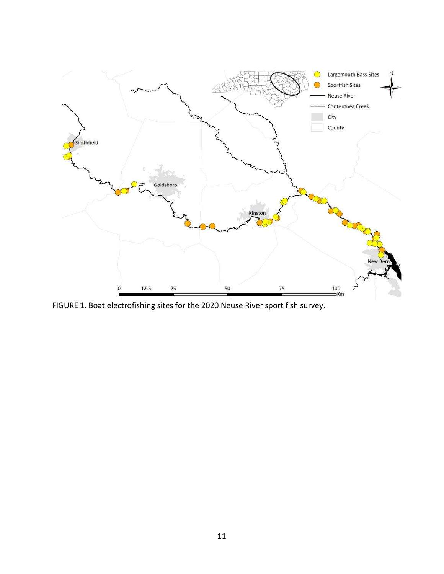

FIGURE 1. Boat electrofishing sites for the 2020 Neuse River sport fish survey.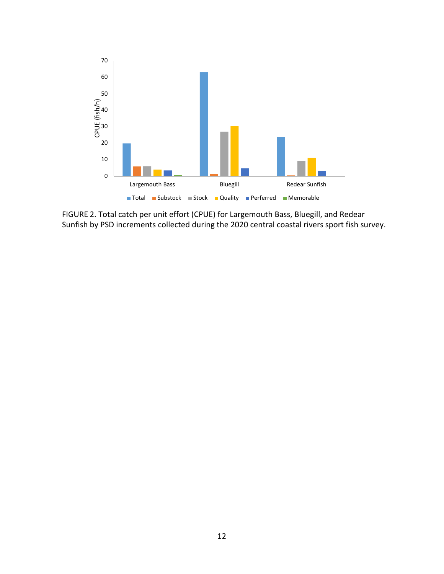

FIGURE 2. Total catch per unit effort (CPUE) for Largemouth Bass, Bluegill, and Redear Sunfish by PSD increments collected during the 2020 central coastal rivers sport fish survey.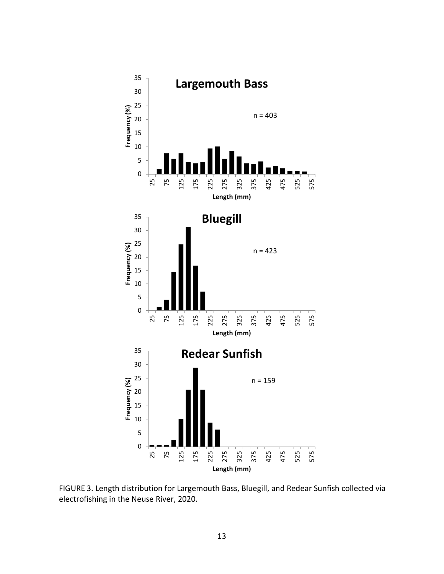

FIGURE 3. Length distribution for Largemouth Bass, Bluegill, and Redear Sunfish collected via electrofishing in the Neuse River, 2020.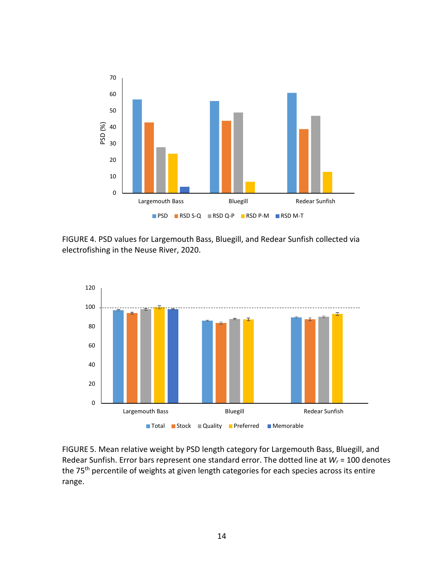

FIGURE 4. PSD values for Largemouth Bass, Bluegill, and Redear Sunfish collected via electrofishing in the Neuse River, 2020.



FIGURE 5. Mean relative weight by PSD length category for Largemouth Bass, Bluegill, and Redear Sunfish. Error bars represent one standard error. The dotted line at *Wr* = 100 denotes the 75<sup>th</sup> percentile of weights at given length categories for each species across its entire range.